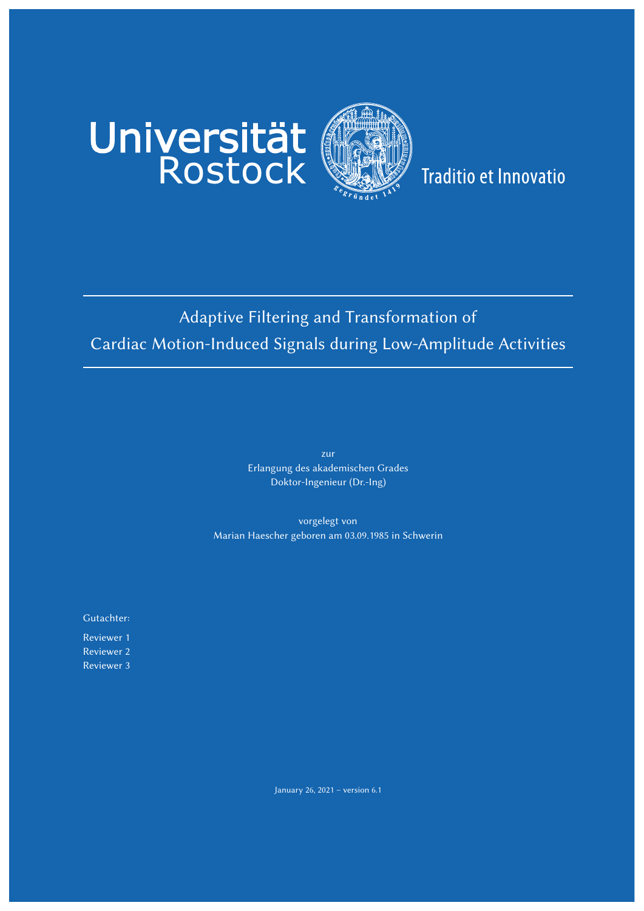

## **Traditio et Innovatio**

## Adaptive Filtering and Transformation of Cardiac Motion-Induced Signals during Low-Amplitude Activities

zur Erlangung des akademischen Grades Doktor-Ingenieur (Dr.-Ing)

vorgelegt von Marian Haescher geboren am 03.09.1985 in Schwerin

Gutachter:

Reviewer 1 Reviewer 2 Reviewer 3

January 26, 2021 – version 6.1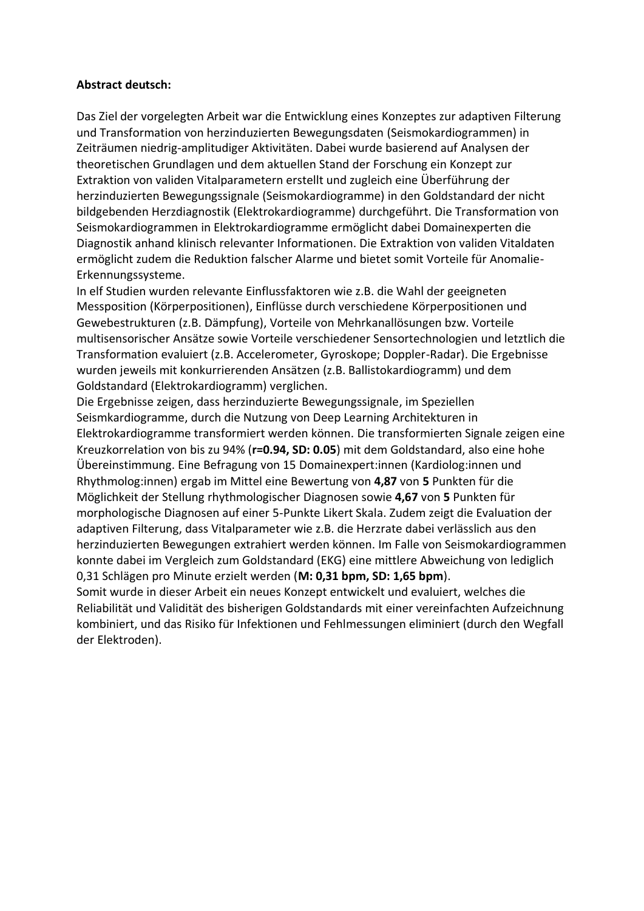## **Abstract deutsch:**

Das Ziel der vorgelegten Arbeit war die Entwicklung eines Konzeptes zur adaptiven Filterung und Transformation von herzinduzierten Bewegungsdaten (Seismokardiogrammen) in Zeiträumen niedrig-amplitudiger Aktivitäten. Dabei wurde basierend auf Analysen der theoretischen Grundlagen und dem aktuellen Stand der Forschung ein Konzept zur Extraktion von validen Vitalparametern erstellt und zugleich eine Überführung der herzinduzierten Bewegungssignale (Seismokardiogramme) in den Goldstandard der nicht bildgebenden Herzdiagnostik (Elektrokardiogramme) durchgeführt. Die Transformation von Seismokardiogrammen in Elektrokardiogramme ermöglicht dabei Domainexperten die Diagnostik anhand klinisch relevanter Informationen. Die Extraktion von validen Vitaldaten ermöglicht zudem die Reduktion falscher Alarme und bietet somit Vorteile für Anomalie-Erkennungssysteme.

In elf Studien wurden relevante Einflussfaktoren wie z.B. die Wahl der geeigneten Messposition (Körperpositionen), Einflüsse durch verschiedene Körperpositionen und Gewebestrukturen (z.B. Dämpfung), Vorteile von Mehrkanallösungen bzw. Vorteile multisensorischer Ansätze sowie Vorteile verschiedener Sensortechnologien und letztlich die Transformation evaluiert (z.B. Accelerometer, Gyroskope; Doppler-Radar). Die Ergebnisse wurden jeweils mit konkurrierenden Ansätzen (z.B. Ballistokardiogramm) und dem Goldstandard (Elektrokardiogramm) verglichen.

Die Ergebnisse zeigen, dass herzinduzierte Bewegungssignale, im Speziellen Seismkardiogramme, durch die Nutzung von Deep Learning Architekturen in Elektrokardiogramme transformiert werden können. Die transformierten Signale zeigen eine Kreuzkorrelation von bis zu 94% (**r=0.94, SD: 0.05**) mit dem Goldstandard, also eine hohe Übereinstimmung. Eine Befragung von 15 Domainexpert:innen (Kardiolog:innen und Rhythmolog:innen) ergab im Mittel eine Bewertung von **4,87** von **5** Punkten für die Möglichkeit der Stellung rhythmologischer Diagnosen sowie **4,67** von **5** Punkten für morphologische Diagnosen auf einer 5-Punkte Likert Skala. Zudem zeigt die Evaluation der adaptiven Filterung, dass Vitalparameter wie z.B. die Herzrate dabei verlässlich aus den herzinduzierten Bewegungen extrahiert werden können. Im Falle von Seismokardiogrammen konnte dabei im Vergleich zum Goldstandard (EKG) eine mittlere Abweichung von lediglich 0,31 Schlägen pro Minute erzielt werden (**M: 0,31 bpm, SD: 1,65 bpm**).

Somit wurde in dieser Arbeit ein neues Konzept entwickelt und evaluiert, welches die Reliabilität und Validität des bisherigen Goldstandards mit einer vereinfachten Aufzeichnung kombiniert, und das Risiko für Infektionen und Fehlmessungen eliminiert (durch den Wegfall der Elektroden).